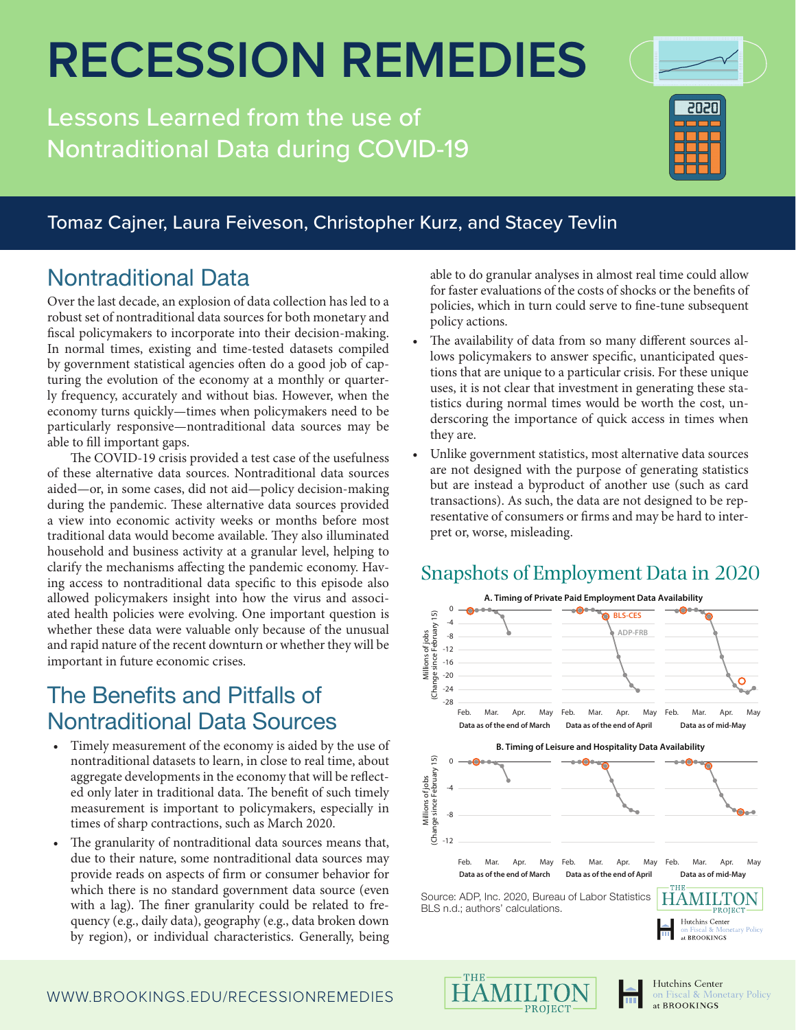## **RECESSION REMEDIES**

Lessons Learned from the use of Nontraditional Data during COVID-19



#### Tomaz Cajner, Laura Feiveson, Christopher Kurz, and Stacey Tevlin

## Nontraditional Data

Over the last decade, an explosion of data collection has led to a robust set of nontraditional data sources for both monetary and fiscal policymakers to incorporate into their decision-making. In normal times, existing and time-tested datasets compiled by government statistical agencies often do a good job of capturing the evolution of the economy at a monthly or quarterly frequency, accurately and without bias. However, when the economy turns quickly—times when policymakers need to be particularly responsive—nontraditional data sources may be able to fill important gaps.

The COVID-19 crisis provided a test case of the usefulness of these alternative data sources. Nontraditional data sources aided—or, in some cases, did not aid—policy decision-making during the pandemic. These alternative data sources provided a view into economic activity weeks or months before most traditional data would become available. They also illuminated household and business activity at a granular level, helping to clarify the mechanisms affecting the pandemic economy. Having access to nontraditional data specific to this episode also allowed policymakers insight into how the virus and associated health policies were evolving. One important question is whether these data were valuable only because of the unusual and rapid nature of the recent downturn or whether they will be important in future economic crises.

## The Benefits and Pitfalls of Nontraditional Data Sources

- Timely measurement of the economy is aided by the use of nontraditional datasets to learn, in close to real time, about aggregate developments in the economy that will be reflected only later in traditional data. The benefit of such timely measurement is important to policymakers, especially in times of sharp contractions, such as March 2020.
- The granularity of nontraditional data sources means that, due to their nature, some nontraditional data sources may provide reads on aspects of firm or consumer behavior for which there is no standard government data source (even with a lag). The finer granularity could be related to frequency (e.g., daily data), geography (e.g., data broken down by region), or individual characteristics. Generally, being

able to do granular analyses in almost real time could allow for faster evaluations of the costs of shocks or the benefits of policies, which in turn could serve to fine-tune subsequent policy actions.

- The availability of data from so many different sources allows policymakers to answer specific, unanticipated questions that are unique to a particular crisis. For these unique uses, it is not clear that investment in generating these statistics during normal times would be worth the cost, underscoring the importance of quick access in times when they are.
- Unlike government statistics, most alternative data sources are not designed with the purpose of generating statistics but are instead a byproduct of another use (such as card transactions). As such, the data are not designed to be representative of consumers or firms and may be hard to interpret or, worse, misleading.

#### Snapshots of Employment Data in 2020









Fiscal & Monetary Policy at BROOKINGS